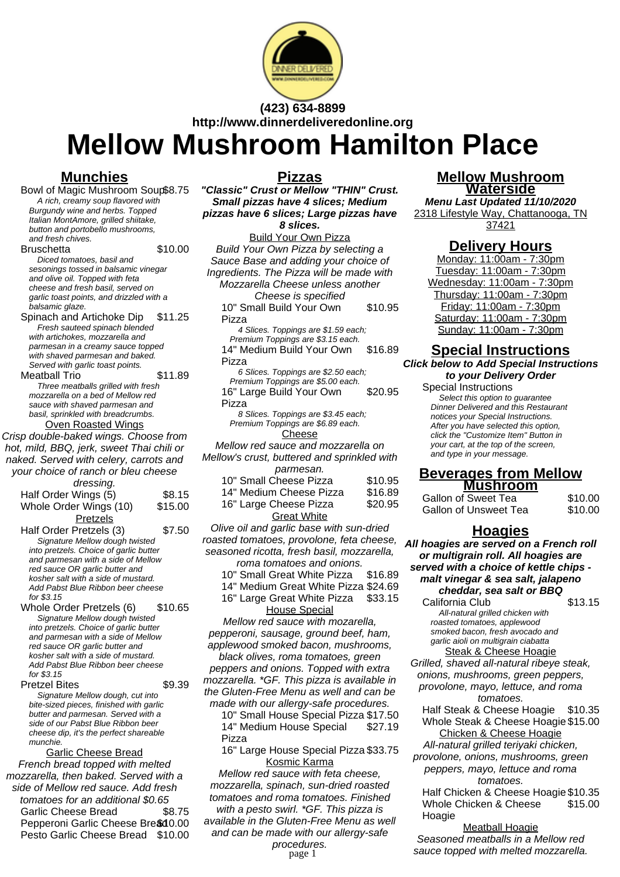

**(423) 634-8899 http://www.dinnerdeliveredonline.org**

# **Mellow Mushroom Hamilton Place**

**Pizzas**

# **Munchies**

Bowl of Magic Mushroom Soup\$8.75 A rich, creamy soup flavored with Burgundy wine and herbs. Topped Italian MontAmore, grilled shiitake, button and portobello mushrooms, and fresh chives.

#### Bruschetta \$10.00

Diced tomatoes, basil and sesonings tossed in balsamic vinegar and olive oil. Topped with feta cheese and fresh basil, served on garlic toast points, and drizzled with a balsamic glaze.

Spinach and Artichoke Dip \$11.25 Fresh sauteed spinach blended with artichokes, mozzarella and parmesan in a creamy sauce topped with shaved parmesan and baked. Served with garlic toast points.

Meatball Trio \$11.89 Three meatballs grilled with fresh mozzarella on a bed of Mellow red sauce with shaved parmesan and basil, sprinkled with breadcrumbs. Oven Roasted Wings

Crisp double-baked wings. Choose from hot, mild, BBQ, jerk, sweet Thai chili or naked. Served with celery, carrots and your choice of ranch or bleu cheese

| dressing.                              |          |  |
|----------------------------------------|----------|--|
| Half Order Wings (5)                   | \$8.15   |  |
| Whole Order Wings (10)                 | \$15.00  |  |
| Pretzels                               |          |  |
| Half Order Pretzels (3)                | \$7.50   |  |
| Signature Mellow dough twisted         |          |  |
| into pretzels. Choice of garlic butter |          |  |
| and parmesan with a side of Mellow     |          |  |
| red sauce OR garlic butter and         |          |  |
| kosher salt with a side of mustard.    |          |  |
| Add Pabst Blue Ribbon beer cheese      |          |  |
| for \$3.15                             |          |  |
| $Mhch \cap Msh$ nte Drotzalo (C)       | 01 A G G |  |

Whole Order Pretzels (6) \$10.65 Signature Mellow dough twisted into pretzels. Choice of garlic butter and parmesan with a side of Mellow red sauce OR garlic butter and kosher salt with a side of mustard. Add Pabst Blue Ribbon beer cheese for \$3.15

Pretzel Bites \$9.39 Signature Mellow dough, cut into bite-sized pieces, finished with garlic butter and parmesan. Served with a side of our Pabst Blue Ribbon beer cheese dip, it's the perfect shareable munchie.

Garlic Cheese Bread French bread topped with melted mozzarella, then baked. Served with a side of Mellow red sauce. Add fresh tomatoes for an additional \$0.65 Garlic Cheese Bread \$8.75 Pepperoni Garlic Cheese Bre\$10.00 Pesto Garlic Cheese Bread \$10.00 **"Classic" Crust or Mellow "THIN" Crust. Small pizzas have 4 slices; Medium pizzas have 6 slices; Large pizzas have 8 slices.** Build Your Own Pizza Build Your Own Pizza by selecting a Sauce Base and adding your choice of Ingredients. The Pizza will be made with Mozzarella Cheese unless another Cheese is specified 10" Small Build Your Own Pizza \$10.95 4 Slices. Toppings are \$1.59 each; Premium Toppings are \$3.15 each. 14" Medium Build Your Own Pizza \$16.89 6 Slices. Toppings are \$2.50 each; Premium Toppings are \$5.00 each. 16" Large Build Your Own Pizza \$20.95 8 Slices. Toppings are \$3.45 each; Premium Toppings are \$6.89 each. Cheese Mellow red sauce and mozzarella on Mellow's crust, buttered and sprinkled with parmesan. 10" Small Cheese Pizza \$10.95 14" Medium Cheese Pizza \$16.89 16" Large Cheese Pizza \$20.95 **Great White** Olive oil and garlic base with sun-dried roasted tomatoes, provolone, feta cheese, seasoned ricotta, fresh basil, mozzarella,

roma tomatoes and onions.

10" Small Great White Pizza \$16.89

14" Medium Great White Pizza \$24.69

16" Large Great White Pizza \$33.15

House Special Mellow red sauce with mozarella, pepperoni, sausage, ground beef, ham, applewood smoked bacon, mushrooms,

black olives, roma tomatoes, green peppers and onions. Topped with extra mozzarella. \*GF. This pizza is available in the Gluten-Free Menu as well and can be made with our allergy-safe procedures.

10" Small House Special Pizza \$17.50 14" Medium House Special Pizza \$27.19

16" Large House Special Pizza \$33.75 Kosmic Karma

Mellow red sauce with feta cheese, mozzarella, spinach, sun-dried roasted tomatoes and roma tomatoes. Finished with a pesto swirl. \*GF. This pizza is available in the Gluten-Free Menu as well

and can be made with our allergy-safe

procedures.<br>page 1

#### **Mellow Mushroom Waterside**

**Menu Last Updated 11/10/2020** 2318 Lifestyle Way, Chattanooga, TN 37421

# **Delivery Hours**

Monday: 11:00am - 7:30pm Tuesday: 11:00am - 7:30pm Wednesday: 11:00am - 7:30pm Thursday: 11:00am - 7:30pm Friday: 11:00am - 7:30pm Saturday: 11:00am - 7:30pm Sunday: 11:00am - 7:30pm

# **Special Instructions**

**Click below to Add Special Instructions to your Delivery Order**

#### Special Instructions

Select this option to quarantee Dinner Delivered and this Restaurant notices your Special Instructions. After you have selected this option, click the "Customize Item" Button in your cart, at the top of the screen, and type in your message.

#### **Beverages from Mellow Mushroom**

| Gallon of Sweet Tea   | \$10.00 |
|-----------------------|---------|
| Gallon of Unsweet Tea | \$10.00 |

#### **Hoagies**

**All hoagies are served on a French roll or multigrain roll. All hoagies are served with a choice of kettle chips malt vinegar & sea salt, jalapeno cheddar, sea salt or BBQ**

California Club \$13.15 All-natural grilled chicken with roasted tomatoes, applewood smoked bacon, fresh avocado and garlic aioli on multigrain ciabatta **Steak & Cheese Hoagie** 

Grilled, shaved all-natural ribeye steak, onions, mushrooms, green peppers, provolone, mayo, lettuce, and roma tomatoes.

Half Steak & Cheese Hoagie \$10.35 Whole Steak & Cheese Hoagie \$15.00 Chicken & Cheese Hoagie

All-natural grilled teriyaki chicken,

provolone, onions, mushrooms, green peppers, mayo, lettuce and roma tomatoes.

Half Chicken & Cheese Hoagie \$10.35 Whole Chicken & Cheese Hoagie \$15.00

Meatball Hoagie Seasoned meatballs in a Mellow red sauce topped with melted mozzarella.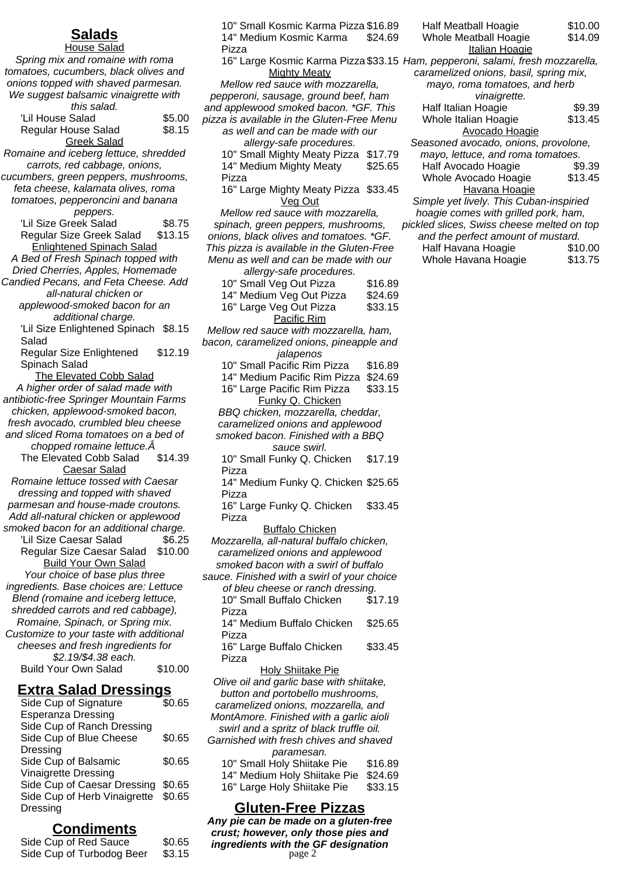# **Salads**

House Salad Spring mix and romaine with roma tomatoes, cucumbers, black olives and onions topped with shaved parmesan. We suggest balsamic vinaigrette with this salad. 'Lil House Salad \$5.00 Regular House Salad \$8.15 Greek Salad Romaine and iceberg lettuce, shredded carrots, red cabbage, onions, cucumbers, green peppers, mushrooms, feta cheese, kalamata olives, roma tomatoes, pepperoncini and banana peppers. Lil Size Greek Salad \$8.75<br>Regular Size Greek Salad \$13.15 Regular Size Greek Salad Enlightened Spinach Salad A Bed of Fresh Spinach topped with Dried Cherries, Apples, Homemade Candied Pecans, and Feta Cheese. Add all-natural chicken or applewood-smoked bacon for an additional charge. 'Lil Size Enlightened Spinach \$8.15 Salad Regular Size Enlightened Spinach Salad \$12.19 The Elevated Cobb Salad A higher order of salad made with antibiotic-free Springer Mountain Farms chicken, applewood-smoked bacon, fresh avocado, crumbled bleu cheese and sliced Roma tomatoes on a bed of chopped romaine lettuce.Â The Elevated Cobb Salad \$14.39 Caesar Salad Romaine lettuce tossed with Caesar dressing and topped with shaved parmesan and house-made croutons. Add all-natural chicken or applewood smoked bacon for an additional charge. 'Lil Size Caesar Salad \$6.25 Regular Size Caesar Salad \$10.00 Build Your Own Salad Your choice of base plus three ingredients. Base choices are: Lettuce Blend (romaine and iceberg lettuce, shredded carrots and red cabbage), Romaine, Spinach, or Spring mix. Customize to your taste with additional cheeses and fresh ingredients for \$2.19/\$4.38 each. Build Your Own Salad \$10.00

#### **Extra Salad Dressings**

| Side Cup of Signature        | \$0.65 |
|------------------------------|--------|
| <b>Esperanza Dressing</b>    |        |
| Side Cup of Ranch Dressing   |        |
| Side Cup of Blue Cheese      | \$0.65 |
| Dressing                     |        |
| Side Cup of Balsamic         | \$0.65 |
| <b>Vinaigrette Dressing</b>  |        |
| Side Cup of Caesar Dressing  | \$0.65 |
| Side Cup of Herb Vinaigrette | \$0.65 |
| Dressing                     |        |
|                              |        |

# **Condiments**

Side Cup of Red Sauce \$0.65 Side Cup of Turbodog Beer \$3.15

10" Small Kosmic Karma Pizza \$16.89 14" Medium Kosmic Karma Pizza \$24.69

16" Large Kosmic Karma Pizza \$33.15 Mighty Meaty

Mellow red sauce with mozzarella, pepperoni, sausage, ground beef, ham and applewood smoked bacon. \*GF. This pizza is available in the Gluten-Free Menu as well and can be made with our allergy-safe procedures.

10" Small Mighty Meaty Pizza \$17.79 14" Medium Mighty Meaty Pizza \$25.65

16" Large Mighty Meaty Pizza \$33.45 Veg Out

Mellow red sauce with mozzarella, spinach, green peppers, mushrooms, onions, black olives and tomatoes. \*GF. This pizza is available in the Gluten-Free Menu as well and can be made with our allergy-safe procedures.

| allei yy sare proceutres.              |         |  |
|----------------------------------------|---------|--|
| 10" Small Veg Out Pizza                | \$16.89 |  |
| 14" Medium Veg Out Pizza               | \$24.69 |  |
| 16" Large Veg Out Pizza                | \$33.15 |  |
| Pacific Rim                            |         |  |
| Mellow red sauce with mozzarella, ham, |         |  |
|                                        |         |  |

bacon, caramelized onions, pineapple and jalapenos

- 10" Small Pacific Rim Pizza \$16.89 14" Medium Pacific Rim Pizza \$24.69
- 16" Large Pacific Rim Pizza \$33.15 Funky Q. Chicken
- BBQ chicken, mozzarella, cheddar, caramelized onions and applewood smoked bacon. Finished with a BBQ sauce swirl.

10" Small Funky Q. Chicken Pizza \$17.19

14" Medium Funky Q. Chicken \$25.65 Pizza

16" Large Funky Q. Chicken Pizza \$33.45

Buffalo Chicken Mozzarella, all-natural buffalo chicken, caramelized onions and applewood smoked bacon with a swirl of buffalo

sauce. Finished with a swirl of your choice of bleu cheese or ranch dressing. 10" Small Buffalo Chicken Pizza \$17.19 14" Medium Buffalo Chicken \$25.65

Pizza 16" Large Buffalo Chicken \$33.45

Pizza

Holy Shiitake Pie Olive oil and garlic base with shiitake, button and portobello mushrooms, caramelized onions, mozzarella, and MontAmore. Finished with a garlic aioli swirl and a spritz of black truffle oil. Garnished with fresh chives and shaved paramesan. 10" Small Holy Shiitake Pie \$16.89 14" Medium Holy Shiitake Pie \$24.69

#### **Gluten-Free Pizzas**

16" Large Holy Shiitake Pie \$33.15

**Any pie can be made on a gluten-free crust; however, only those pies and ingredients with the GF designation** page 2

| <b>Half Meatball Hoagie</b>                | \$10.00 |
|--------------------------------------------|---------|
| Whole Meatball Hoagie                      | \$14.09 |
| <b>Italian Hoagie</b>                      |         |
| Ham, pepperoni, salami, fresh mozzarella,  |         |
| caramelized onions, basil, spring mix,     |         |
| mayo, roma tomatoes, and herb              |         |
| <i>vinaigrette.</i>                        |         |
| Half Italian Hoagie                        | \$9.39  |
| Whole Italian Hoagie                       | \$13.45 |
| <b>Avocado Hoagie</b>                      |         |
| Seasoned avocado, onions, provolone,       |         |
| mayo, lettuce, and roma tomatoes.          |         |
| Half Avocado Hoagie                        | \$9.39  |
| Whole Avocado Hoagie                       | \$13.45 |
| Havana Hoagie                              |         |
| Simple yet lively. This Cuban-inspiried    |         |
| hoagie comes with grilled pork, ham,       |         |
| pickled slices, Swiss cheese melted on top |         |
| and the perfect amount of mustard.         |         |
| Half Havana Hoagie                         | \$10.00 |

Whole Havana Hoagie \$13.75